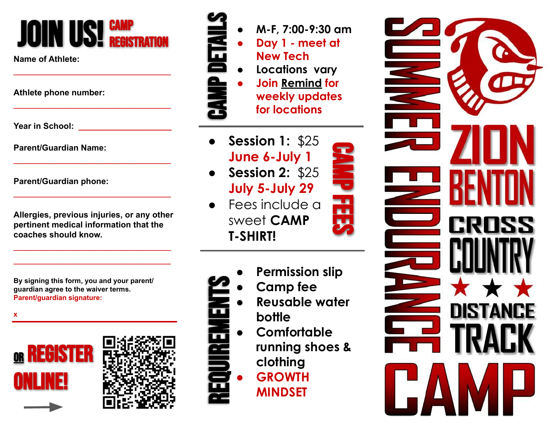# JOIN US! GAMP

\_\_\_\_\_\_\_\_\_\_\_\_\_\_\_\_\_\_\_\_\_\_\_\_\_\_\_\_\_

\_\_\_\_\_\_\_\_\_\_\_\_\_\_\_\_\_\_\_\_\_\_\_\_\_\_\_\_\_

\_\_\_\_\_\_\_\_\_\_\_\_\_\_\_\_\_\_\_\_\_\_\_\_\_\_\_\_\_

\_\_\_\_\_\_\_\_\_\_\_\_\_\_\_\_\_\_\_\_\_\_\_\_\_\_\_\_\_

**Name of Athlete:**

**Athlete phone number:**

**Year in School: \_\_\_\_\_\_\_\_\_\_\_\_\_\_\_\_\_\_\_\_**

**Parent/Guardian Name:**

**Parent/Guardian phone:**

**Allergies, previous injuries, or any other pertinent medical information that the coaches should know.**

\_\_\_\_\_\_\_\_\_\_\_\_\_\_\_\_\_\_\_\_\_\_\_\_\_\_\_\_\_ \_\_\_\_\_\_\_\_\_\_\_\_\_\_\_\_\_\_\_\_\_\_\_\_\_\_\_\_\_

**By signing this form, you and your parent/ guardian agree to the waiver terms. Parent/guardian signature:**









- **● M-F, 7:00-9:30 am** ● **Day 1 - meet at**
- **New Tech**
- **● Locations vary**
	- **Join Remind for weekly updates for locations**
- **Session 1: \$25 June 6-July 1**
- **Session 2:** \$25 **July 5-July 29**
- Fees include a sweet **CAMP T-SHIRT!**



CAMP FEES

- **● Camp fee**
- **● Reusable water bottle** REQUIREMENTS
	- **● Comfortable** 
		- **running shoes & clothing**
		- **● GROWTH MINDSET**